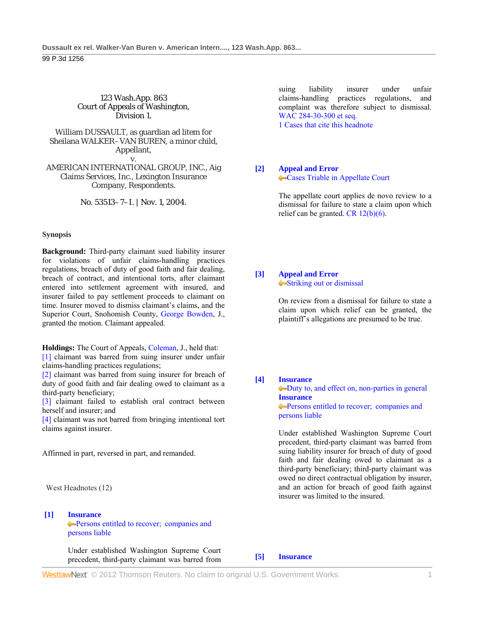# 123 Wash.App. 863 Court of Appeals of Washington, Division 1.

William DUSSAULT, as guardian ad litem for Sheilana WALKER–VAN BUREN, a minor child, Appellant, v.

AMERICAN INTERNATIONAL GROUP, INC., Aig Claims Services, Inc., Lexington Insurance Company, Respondents.

No. 53513–7–I. | Nov. 1, 2004.

### **Synopsis**

**Background:** Third-party claimant sued liability insurer for violations of unfair claims-handling practices regulations, breach of duty of good faith and fair dealing, breach of contract, and intentional torts, after claimant entered into settlement agreement with insured, and insurer failed to pay settlement proceeds to claimant on time. Insurer moved to dismiss claimant's claims, and the Superior Court, Snohomish County, George Bowden, J., granted the motion. Claimant appealed.

**Holdings:** The Court of Appeals, Coleman, J., held that: [1] claimant was barred from suing insurer under unfair claims-handling practices regulations;

[2] claimant was barred from suing insurer for breach of duty of good faith and fair dealing owed to claimant as a third-party beneficiary;

[3] claimant failed to establish oral contract between herself and insurer; and

[4] claimant was not barred from bringing intentional tort claims against insurer.

Affirmed in part, reversed in part, and remanded.

West Headnotes (12)

### **[1] Insurance**

**Persons entitled to recover; companies and** persons liable

 Under established Washington Supreme Court precedent, third-party claimant was barred from suing liability insurer under unfair claims-handling practices regulations, and complaint was therefore subject to dismissal. WAC 284-30-300 et seq.

1 Cases that cite this headnote

## **[2] Appeal and Error** Cases Triable in Appellate Court

 The appellate court applies de novo review to a dismissal for failure to state a claim upon which relief can be granted.  $CR$  12(b)(6).

### **[3] Appeal and Error** Striking out or dismissal

 On review from a dismissal for failure to state a claim upon which relief can be granted, the plaintiff's allegations are presumed to be true.

# **[4] Insurance**

Duty to, and effect on, non-parties in general **Insurance Persons entitled to recover; companies and** persons liable

 Under established Washington Supreme Court precedent, third-party claimant was barred from suing liability insurer for breach of duty of good faith and fair dealing owed to claimant as a third-party beneficiary; third-party claimant was owed no direct contractual obligation by insurer, and an action for breach of good faith against insurer was limited to the insured.

**[5] Insurance**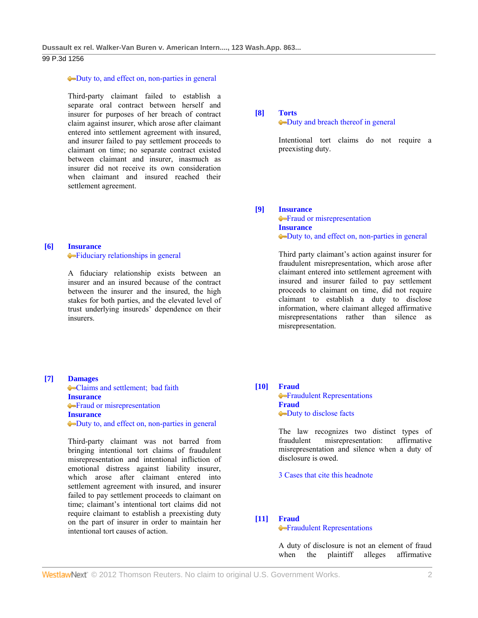99 P.3d 1256

# Duty to, and effect on, non-parties in general

 Third-party claimant failed to establish a separate oral contract between herself and insurer for purposes of her breach of contract claim against insurer, which arose after claimant entered into settlement agreement with insured, and insurer failed to pay settlement proceeds to claimant on time; no separate contract existed between claimant and insurer, inasmuch as insurer did not receive its own consideration when claimant and insured reached their settlement agreement.

# **[6] Insurance**

Fiduciary relationships in general

 A fiduciary relationship exists between an insurer and an insured because of the contract between the insurer and the insured, the high stakes for both parties, and the elevated level of trust underlying insureds' dependence on their insurers.

### **[8] Torts**

# Duty and breach thereof in general

 Intentional tort claims do not require a preexisting duty.

#### **[9] Insurance**

**Fraud or misrepresentation Insurance** Duty to, and effect on, non-parties in general

 Third party claimant's action against insurer for fraudulent misrepresentation, which arose after claimant entered into settlement agreement with insured and insurer failed to pay settlement proceeds to claimant on time, did not require claimant to establish a duty to disclose information, where claimant alleged affirmative misrepresentations rather than silence as misrepresentation.

# **[7] Damages** Claims and settlement; bad faith **Insurance •**Fraud or misrepresentation **Insurance** Duty to, and effect on, non-parties in general

 Third-party claimant was not barred from bringing intentional tort claims of fraudulent misrepresentation and intentional infliction of emotional distress against liability insurer, which arose after claimant entered into settlement agreement with insured, and insurer failed to pay settlement proceeds to claimant on time; claimant's intentional tort claims did not require claimant to establish a preexisting duty on the part of insurer in order to maintain her intentional tort causes of action.

# **[10] Fraud**

**•**Fraudulent Representations **Fraud** Duty to disclose facts

 The law recognizes two distinct types of fraudulent misrepresentation: affirmative misrepresentation and silence when a duty of disclosure is owed.

3 Cases that cite this headnote

## **[11] Fraud**

# Fraudulent Representations

 A duty of disclosure is not an element of fraud when the plaintiff alleges affirmative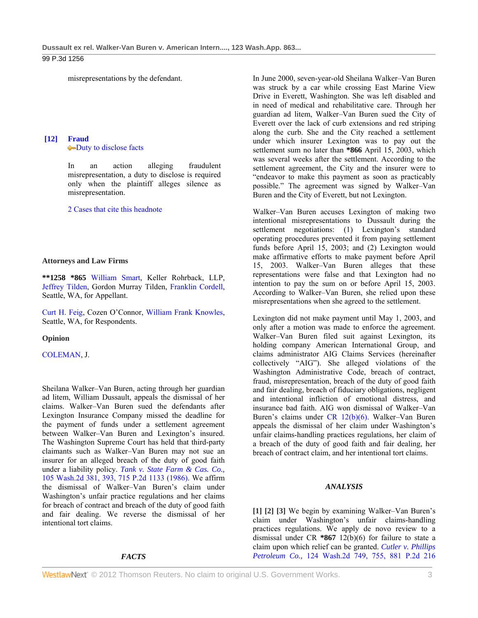## 99 P.3d 1256

misrepresentations by the defendant.

# **[12] Fraud Duty** to disclose facts

 In an action alleging fraudulent misrepresentation, a duty to disclose is required only when the plaintiff alleges silence as misrepresentation.

2 Cases that cite this headnote

#### **Attorneys and Law Firms**

**\*\*1258 \*865** William Smart, Keller Rohrback, LLP, Jeffrey Tilden, Gordon Murray Tilden, Franklin Cordell, Seattle, WA, for Appellant.

Curt H. Feig, Cozen O'Connor, William Frank Knowles, Seattle, WA, for Respondents.

### **Opinion**

COLEMAN, J.

Sheilana Walker–Van Buren, acting through her guardian ad litem, William Dussault, appeals the dismissal of her claims. Walker–Van Buren sued the defendants after Lexington Insurance Company missed the deadline for the payment of funds under a settlement agreement between Walker–Van Buren and Lexington's insured. The Washington Supreme Court has held that third-party claimants such as Walker–Van Buren may not sue an insurer for an alleged breach of the duty of good faith under a liability policy. *Tank v. State Farm & Cas. Co.,* 105 Wash.2d 381, 393, 715 P.2d 1133 (1986). We affirm the dismissal of Walker–Van Buren's claim under Washington's unfair practice regulations and her claims for breach of contract and breach of the duty of good faith and fair dealing. We reverse the dismissal of her intentional tort claims.

#### *FACTS*

In June 2000, seven-year-old Sheilana Walker–Van Buren was struck by a car while crossing East Marine View Drive in Everett, Washington. She was left disabled and in need of medical and rehabilitative care. Through her guardian ad litem, Walker–Van Buren sued the City of Everett over the lack of curb extensions and red striping along the curb. She and the City reached a settlement under which insurer Lexington was to pay out the settlement sum no later than **\*866** April 15, 2003, which was several weeks after the settlement. According to the settlement agreement, the City and the insurer were to "endeavor to make this payment as soon as practicably possible." The agreement was signed by Walker–Van Buren and the City of Everett, but not Lexington.

Walker–Van Buren accuses Lexington of making two intentional misrepresentations to Dussault during the settlement negotiations: (1) Lexington's standard operating procedures prevented it from paying settlement funds before April 15, 2003; and (2) Lexington would make affirmative efforts to make payment before April 15, 2003. Walker–Van Buren alleges that these representations were false and that Lexington had no intention to pay the sum on or before April 15, 2003. According to Walker–Van Buren, she relied upon these misrepresentations when she agreed to the settlement.

Lexington did not make payment until May 1, 2003, and only after a motion was made to enforce the agreement. Walker–Van Buren filed suit against Lexington, its holding company American International Group, and claims administrator AIG Claims Services (hereinafter collectively "AIG"). She alleged violations of the Washington Administrative Code, breach of contract, fraud, misrepresentation, breach of the duty of good faith and fair dealing, breach of fiduciary obligations, negligent and intentional infliction of emotional distress, and insurance bad faith. AIG won dismissal of Walker–Van Buren's claims under CR 12(b)(6). Walker–Van Buren appeals the dismissal of her claim under Washington's unfair claims-handling practices regulations, her claim of a breach of the duty of good faith and fair dealing, her breach of contract claim, and her intentional tort claims.

### *ANALYSIS*

**[1] [2] [3]** We begin by examining Walker–Van Buren's claim under Washington's unfair claims-handling practices regulations. We apply de novo review to a dismissal under CR **\*867** 12(b)(6) for failure to state a claim upon which relief can be granted. *Cutler v. Phillips Petroleum Co.,* 124 Wash.2d 749, 755, 881 P.2d 216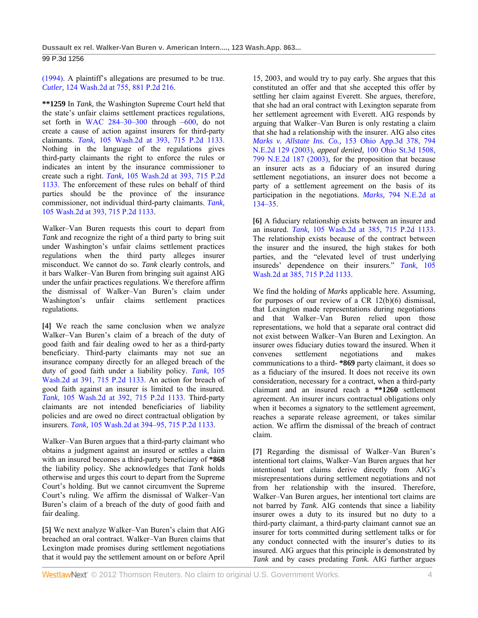(1994). A plaintiff's allegations are presumed to be true. *Cutler,* 124 Wash.2d at 755, 881 P.2d 216.

**\*\*1259** In *Tank,* the Washington Supreme Court held that the state's unfair claims settlement practices regulations, set forth in WAC  $284-30-300$  through  $-600$ , do not create a cause of action against insurers for third-party claimants. *Tank,* 105 Wash.2d at 393, 715 P.2d 1133. Nothing in the language of the regulations gives third-party claimants the right to enforce the rules or indicates an intent by the insurance commissioner to create such a right. *Tank,* 105 Wash.2d at 393, 715 P.2d 1133. The enforcement of these rules on behalf of third parties should be the province of the insurance commissioner, not individual third-party claimants. *Tank,* 105 Wash.2d at 393, 715 P.2d 1133.

Walker–Van Buren requests this court to depart from *Tank* and recognize the right of a third party to bring suit under Washington's unfair claims settlement practices regulations when the third party alleges insurer misconduct. We cannot do so. *Tank* clearly controls, and it bars Walker–Van Buren from bringing suit against AIG under the unfair practices regulations. We therefore affirm the dismissal of Walker–Van Buren's claim under Washington's unfair claims settlement practices regulations.

**[4]** We reach the same conclusion when we analyze Walker–Van Buren's claim of a breach of the duty of good faith and fair dealing owed to her as a third-party beneficiary. Third-party claimants may not sue an insurance company directly for an alleged breach of the duty of good faith under a liability policy. *Tank,* 105 Wash.2d at 391, 715 P.2d 1133. An action for breach of good faith against an insurer is limited to the insured. *Tank,* 105 Wash.2d at 392, 715 P.2d 1133. Third-party claimants are not intended beneficiaries of liability policies and are owed no direct contractual obligation by insurers. *Tank,* 105 Wash.2d at 394–95, 715 P.2d 1133.

Walker–Van Buren argues that a third-party claimant who obtains a judgment against an insured or settles a claim with an insured becomes a third-party beneficiary of **\*868** the liability policy. She acknowledges that *Tank* holds otherwise and urges this court to depart from the Supreme Court's holding. But we cannot circumvent the Supreme Court's ruling. We affirm the dismissal of Walker–Van Buren's claim of a breach of the duty of good faith and fair dealing.

**[5]** We next analyze Walker–Van Buren's claim that AIG breached an oral contract. Walker–Van Buren claims that Lexington made promises during settlement negotiations that it would pay the settlement amount on or before April

15, 2003, and would try to pay early. She argues that this constituted an offer and that she accepted this offer by settling her claim against Everett. She argues, therefore, that she had an oral contract with Lexington separate from her settlement agreement with Everett. AIG responds by arguing that Walker–Van Buren is only restating a claim that she had a relationship with the insurer. AIG also cites *Marks v. Allstate Ins. Co.,* 153 Ohio App.3d 378, 794 N.E.2d 129 (2003), *appeal denied,* 100 Ohio St.3d 1508, 799 N.E.2d 187 (2003), for the proposition that because an insurer acts as a fiduciary of an insured during settlement negotiations, an insurer does not become a party of a settlement agreement on the basis of its participation in the negotiations. *Marks,* 794 N.E.2d at 134–35.

**[6]** A fiduciary relationship exists between an insurer and an insured. *Tank,* 105 Wash.2d at 385, 715 P.2d 1133. The relationship exists because of the contract between the insurer and the insured, the high stakes for both parties, and the "elevated level of trust underlying insureds' dependence on their insurers." *Tank,* 105 Wash.2d at 385, 715 P.2d 1133.

We find the holding of *Marks* applicable here. Assuming, for purposes of our review of a CR 12(b)(6) dismissal, that Lexington made representations during negotiations and that Walker–Van Buren relied upon those representations, we hold that a separate oral contract did not exist between Walker–Van Buren and Lexington. An insurer owes fiduciary duties toward the insured. When it convenes settlement negotiations and makes communications to a third- **\*869** party claimant, it does so as a fiduciary of the insured. It does not receive its own consideration, necessary for a contract, when a third-party claimant and an insured reach a **\*\*1260** settlement agreement. An insurer incurs contractual obligations only when it becomes a signatory to the settlement agreement, reaches a separate release agreement, or takes similar action. We affirm the dismissal of the breach of contract claim.

**[7]** Regarding the dismissal of Walker–Van Buren's intentional tort claims, Walker–Van Buren argues that her intentional tort claims derive directly from AIG's misrepresentations during settlement negotiations and not from her relationship with the insured. Therefore, Walker–Van Buren argues, her intentional tort claims are not barred by *Tank.* AIG contends that since a liability insurer owes a duty to its insured but no duty to a third-party claimant, a third-party claimant cannot sue an insurer for torts committed during settlement talks or for any conduct connected with the insurer's duties to its insured. AIG argues that this principle is demonstrated by *Tank* and by cases predating *Tank.* AIG further argues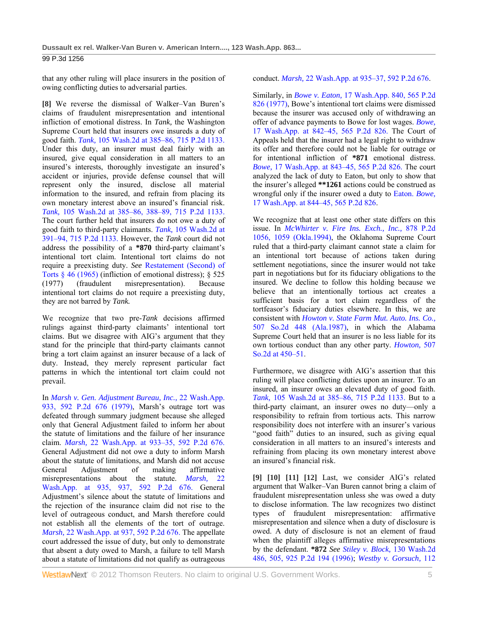that any other ruling will place insurers in the position of owing conflicting duties to adversarial parties.

**[8]** We reverse the dismissal of Walker–Van Buren's claims of fraudulent misrepresentation and intentional infliction of emotional distress. In *Tank,* the Washington Supreme Court held that insurers owe insureds a duty of good faith. *Tank,* 105 Wash.2d at 385–86, 715 P.2d 1133. Under this duty, an insurer must deal fairly with an insured, give equal consideration in all matters to an insured's interests, thoroughly investigate an insured's accident or injuries, provide defense counsel that will represent only the insured, disclose all material information to the insured, and refrain from placing its own monetary interest above an insured's financial risk. *Tank,* 105 Wash.2d at 385–86, 388–89, 715 P.2d 1133. The court further held that insurers do not owe a duty of good faith to third-party claimants. *Tank,* 105 Wash.2d at 391–94, 715 P.2d 1133. However, the *Tank* court did not address the possibility of a **\*870** third-party claimant's intentional tort claim. Intentional tort claims do not require a preexisting duty. *See* Restatement (Second) of Torts § 46 (1965) (infliction of emotional distress); § 525 (1977) (fraudulent misrepresentation). Because intentional tort claims do not require a preexisting duty, they are not barred by *Tank.* 

We recognize that two pre-*Tank* decisions affirmed rulings against third-party claimants' intentional tort claims. But we disagree with AIG's argument that they stand for the principle that third-party claimants cannot bring a tort claim against an insurer because of a lack of duty. Instead, they merely represent particular fact patterns in which the intentional tort claim could not prevail.

In *Marsh v. Gen. Adjustment Bureau, Inc.,* 22 Wash.App. 933, 592 P.2d 676 (1979), Marsh's outrage tort was defeated through summary judgment because she alleged only that General Adjustment failed to inform her about the statute of limitations and the failure of her insurance claim. *Marsh,* 22 Wash.App. at 933–35, 592 P.2d 676. General Adjustment did not owe a duty to inform Marsh about the statute of limitations, and Marsh did not accuse General Adjustment of making affirmative misrepresentations about the statute. *Marsh,* 22 Wash.App. at 935, 937, 592 P.2d 676. General Adjustment's silence about the statute of limitations and the rejection of the insurance claim did not rise to the level of outrageous conduct, and Marsh therefore could not establish all the elements of the tort of outrage. *Marsh,* 22 Wash.App. at 937, 592 P.2d 676. The appellate court addressed the issue of duty, but only to demonstrate that absent a duty owed to Marsh, a failure to tell Marsh about a statute of limitations did not qualify as outrageous

conduct. *Marsh,* 22 Wash.App. at 935–37, 592 P.2d 676.

Similarly, in *Bowe v. Eaton,* 17 Wash.App. 840, 565 P.2d 826 (1977), Bowe's intentional tort claims were dismissed because the insurer was accused only of withdrawing an offer of advance payments to Bowe for lost wages. *Bowe,* 17 Wash.App. at 842–45, 565 P.2d 826. The Court of Appeals held that the insurer had a legal right to withdraw its offer and therefore could not be liable for outrage or for intentional infliction of **\*871** emotional distress. *Bowe,* 17 Wash.App. at 843–45, 565 P.2d 826. The court analyzed the lack of duty to Eaton, but only to show that the insurer's alleged **\*\*1261** actions could be construed as wrongful only if the insurer owed a duty to Eaton. *Bowe,* 17 Wash.App. at 844–45, 565 P.2d 826.

We recognize that at least one other state differs on this issue. In *McWhirter v. Fire Ins. Exch., Inc.,* 878 P.2d 1056, 1059 (Okla.1994), the Oklahoma Supreme Court ruled that a third-party claimant cannot state a claim for an intentional tort because of actions taken during settlement negotiations, since the insurer would not take part in negotiations but for its fiduciary obligations to the insured. We decline to follow this holding because we believe that an intentionally tortious act creates a sufficient basis for a tort claim regardless of the tortfeasor's fiduciary duties elsewhere. In this, we are consistent with *Howton v. State Farm Mut. Auto. Ins. Co.,* 507 So.2d 448 (Ala.1987), in which the Alabama Supreme Court held that an insurer is no less liable for its own tortious conduct than any other party. *Howton,* 507 So.2d at 450–51.

Furthermore, we disagree with AIG's assertion that this ruling will place conflicting duties upon an insurer. To an insured, an insurer owes an elevated duty of good faith. *Tank,* 105 Wash.2d at 385–86, 715 P.2d 1133. But to a third-party claimant, an insurer owes no duty—only a responsibility to refrain from tortious acts. This narrow responsibility does not interfere with an insurer's various "good faith" duties to an insured, such as giving equal consideration in all matters to an insured's interests and refraining from placing its own monetary interest above an insured's financial risk.

**[9] [10] [11] [12]** Last, we consider AIG's related argument that Walker–Van Buren cannot bring a claim of fraudulent misrepresentation unless she was owed a duty to disclose information. The law recognizes two distinct types of fraudulent misrepresentation: affirmative misrepresentation and silence when a duty of disclosure is owed. A duty of disclosure is not an element of fraud when the plaintiff alleges affirmative misrepresentations by the defendant. **\*872** *See Stiley v. Block,* 130 Wash.2d 486, 505, 925 P.2d 194 (1996); *Westby v. Gorsuch,* 112